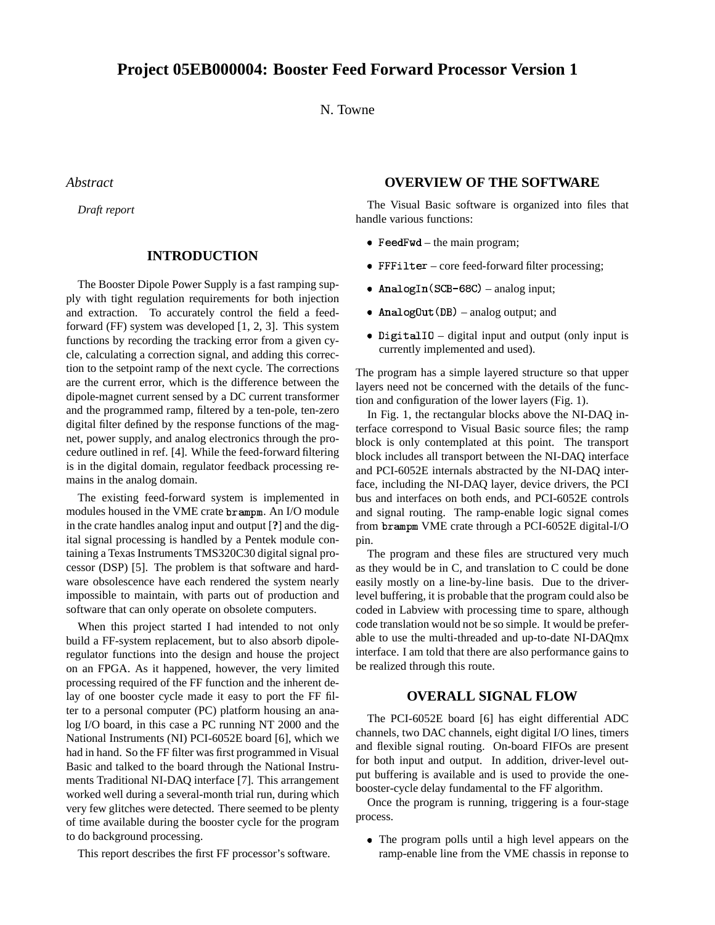N. Towne

*Abstract*

*Draft report*

# **INTRODUCTION**

The Booster Dipole Power Supply is a fast ramping supply with tight regulation requirements for both injection and extraction. To accurately control the field a feedforward (FF) system was developed [1, 2, 3]. This system functions by recording the tracking error from a given cycle, calculating a correction signal, and adding this correction to the setpoint ramp of the next cycle. The corrections are the current error, which is the difference between the dipole-magnet current sensed by a DC current transformer and the programmed ramp, filtered by a ten-pole, ten-zero digital filter defined by the response functions of the magnet, power supply, and analog electronics through the procedure outlined in ref. [4]. While the feed-forward filtering is in the digital domain, regulator feedback processing remains in the analog domain.

The existing feed-forward system is implemented in modules housed in the VME crate brampm. An I/O module in the crate handles analog input and output [**?**] and the digital signal processing is handled by a Pentek module containing a Texas Instruments TMS320C30 digital signal processor (DSP) [5]. The problem is that software and hardware obsolescence have each rendered the system nearly impossible to maintain, with parts out of production and software that can only operate on obsolete computers.

When this project started I had intended to not only build a FF-system replacement, but to also absorb dipoleregulator functions into the design and house the project on an FPGA. As it happened, however, the very limited processing required of the FF function and the inherent delay of one booster cycle made it easy to port the FF filter to a personal computer (PC) platform housing an analog I/O board, in this case a PC running NT 2000 and the National Instruments (NI) PCI-6052E board [6], which we had in hand. So the FF filter was first programmed in Visual Basic and talked to the board through the National Instruments Traditional NI-DAQ interface [7]. This arrangement worked well during a several-month trial run, during which very few glitches were detected. There seemed to be plenty of time available during the booster cycle for the program to do background processing.

This report describes the first FF processor's software.

# **OVERVIEW OF THE SOFTWARE**

The Visual Basic software is organized into files that handle various functions:

- Feed  $Fwd the main program;$
- core feed-forward filter processing;
- AnalogIn(SCB-68C) analog input;
- AnalogOut (DB) analog output; and
- Digital IO digital input and output (only input is currently implemented and used).

The program has a simple layered structure so that upper layers need not be concerned with the details of the function and configuration of the lower layers (Fig. 1).

In Fig. 1, the rectangular blocks above the NI-DAQ interface correspond to Visual Basic source files; the ramp block is only contemplated at this point. The transport block includes all transport between the NI-DAQ interface and PCI-6052E internals abstracted by the NI-DAQ interface, including the NI-DAQ layer, device drivers, the PCI bus and interfaces on both ends, and PCI-6052E controls and signal routing. The ramp-enable logic signal comes from brampm VME crate through a PCI-6052E digital-I/O pin.

The program and these files are structured very much as they would be in C, and translation to C could be done easily mostly on a line-by-line basis. Due to the driverlevel buffering, it is probable that the program could also be coded in Labview with processing time to spare, although code translation would not be so simple. It would be preferable to use the multi-threaded and up-to-date NI-DAQmx interface. I am told that there are also performance gains to be realized through this route.

#### **OVERALL SIGNAL FLOW**

The PCI-6052E board [6] has eight differential ADC channels, two DAC channels, eight digital I/O lines, timers and flexible signal routing. On-board FIFOs are present for both input and output. In addition, driver-level output buffering is available and is used to provide the onebooster-cycle delay fundamental to the FF algorithm.

Once the program is running, triggering is a four-stage process.

 The program polls until a high level appears on the ramp-enable line from the VME chassis in reponse to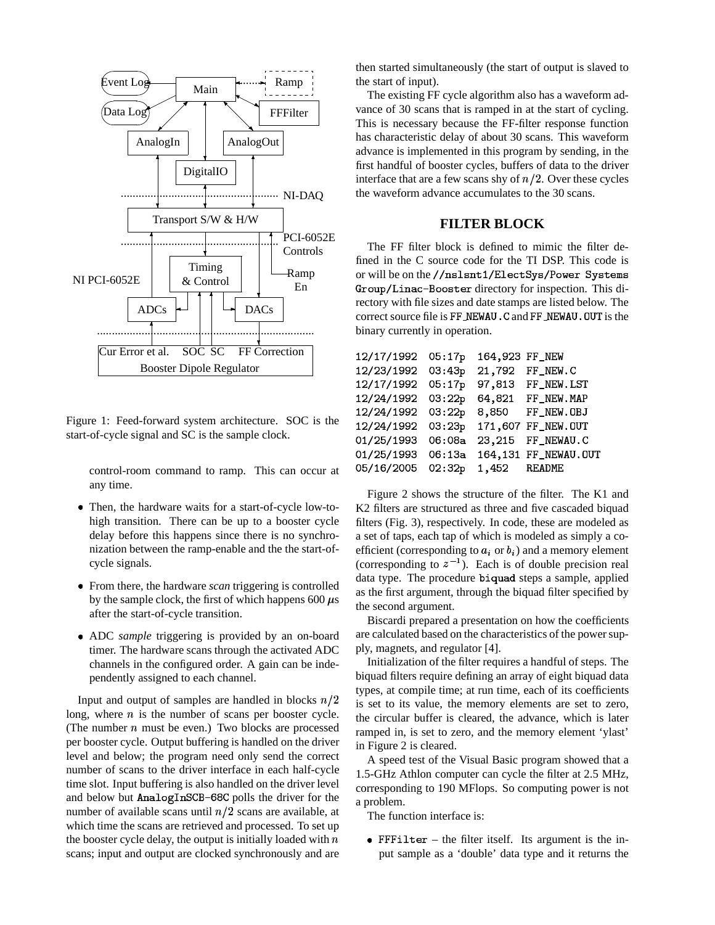

Figure 1: Feed-forward system architecture. SOC is the start-of-cycle signal and SC is the sample clock.

control-room command to ramp. This can occur at any time.

- , Then, the hardware waits for a start-of-cycle low-tohigh transition. There can be up to a booster cycle delay before this happens since there is no synchronization between the ramp-enable and the the start-ofcycle signals.
- , From there, the hardware *scan* triggering is controlled by the sample clock, the first of which happens 600  $\mu$ s after the start-of-cycle transition.
- , ADC *sample* triggering is provided by an on-board timer. The hardware scans through the activated ADC channels in the configured order. A gain can be independently assigned to each channel.

Input and output of samples are handled in blocks  $n/2$ long, where  $n$  is the number of scans per booster cycle. (The number  $n$  must be even.) Two blocks are processed per booster cycle. Output buffering is handled on the driver level and below; the program need only send the correct number of scans to the driver interface in each half-cycle time slot. Input buffering is also handled on the driver level and below but AnalogInSCB-68C polls the driver for the number of available scans until  $n/2$  scans are available, at which time the scans are retrieved and processed. To set up the booster cycle delay, the output is initially loaded with  $n$ scans; input and output are clocked synchronously and are then started simultaneously (the start of output is slaved to the start of input).

The existing FF cycle algorithm also has a waveform advance of 30 scans that is ramped in at the start of cycling. This is necessary because the FF-filter response function has characteristic delay of about 30 scans. This waveform advance is implemented in this program by sending, in the first handful of booster cycles, buffers of data to the driver interface that are a few scans shy of  $n/2$ . Over these cycles the waveform advance accumulates to the 30 scans.

# **FILTER BLOCK**

The FF filter block is defined to mimic the filter defined in the C source code for the TI DSP. This code is or will be on the //nslsnt1/ElectSys/Power Systems Group/Linac-Booster directory for inspection. This directory with file sizes and date stamps are listed below. The correct source file is FF\_NEWAU. C and FF\_NEWAU. OUT is the binary currently in operation.

| 12/17/1992 | 05:17p | 164,923 FF_NEW |                      |
|------------|--------|----------------|----------------------|
| 12/23/1992 | 03:43p | 21,792         | FF NEW.C             |
| 12/17/1992 | 05:17p | 97,813         | FF_NEW.LST           |
| 12/24/1992 | 03:22p | 64,821         | FF_NEW.MAP           |
| 12/24/1992 | 03:22p | 8,850          | FF_NEW.OBJ           |
| 12/24/1992 | 03:23p |                | 171,607 FF_NEW.0UT   |
| 01/25/1993 | 06:08a | 23,215         | FF NEWAU.C           |
| 01/25/1993 | 06:13a |                | 164,131 FF_NEWAU.OUT |
| 05/16/2005 | 02:32p | 1,452          | README               |

Figure 2 shows the structure of the filter. The K1 and K2 filters are structured as three and five cascaded biquad filters (Fig. 3), respectively. In code, these are modeled as a set of taps, each tap of which is modeled as simply a coefficient (corresponding to  $a_i$  or  $b_i$ ) and a memory element (corresponding to  $z^{-1}$ ). Each is of double precision real data type. The procedure biquad steps a sample, applied as the first argument, through the biquad filter specified by the second argument.

Biscardi prepared a presentation on how the coefficients are calculated based on the characteristics of the power supply, magnets, and regulator [4].

Initialization of the filter requires a handful of steps. The biquad filters require defining an array of eight biquad data types, at compile time; at run time, each of its coefficients is set to its value, the memory elements are set to zero, the circular buffer is cleared, the advance, which is later ramped in, is set to zero, and the memory element 'ylast' in Figure 2 is cleared.

A speed test of the Visual Basic program showed that a 1.5-GHz Athlon computer can cycle the filter at 2.5 MHz, corresponding to 190 MFlops. So computing power is not a problem.

The function interface is:

• FFFilter – the filter itself. Its argument is the input sample as a 'double' data type and it returns the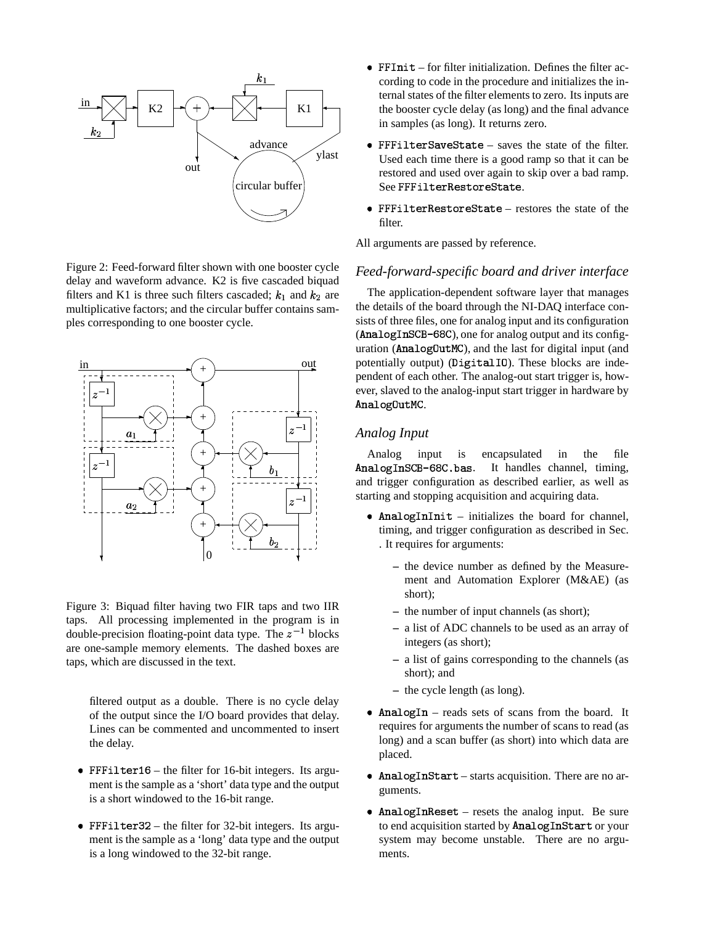

Figure 2: Feed-forward filter shown with one booster cycle delay and waveform advance. K2 is five cascaded biquad filters and K1 is three such filters cascaded;  $k_1$  and  $k_2$  are multiplicative factors; and the circular buffer contains samples corresponding to one booster cycle.



Figure 3: Biquad filter having two FIR taps and two IIR taps. All processing implemented in the program is in double-precision floating-point data type. The  $z^{-1}$  blocks are one-sample memory elements. The dashed boxes are taps, which are discussed in the text.

filtered output as a double. There is no cycle delay of the output since the I/O board provides that delay. Lines can be commented and uncommented to insert the delay.

- FFFilter  $16$  the filter for 16-bit integers. Its argument is the sample as a 'short' data type and the output is a short windowed to the 16-bit range.
- FFFilter 32 the filter for 32-bit integers. Its argument is the sample as a 'long' data type and the output is a long windowed to the 32-bit range.
- for filter initialization. Defines the filter according to code in the procedure and initializes the internal states of the filter elements to zero. Its inputs are the booster cycle delay (as long) and the final advance in samples (as long). It returns zero.
- FFFilterSaveState saves the state of the filter. Used each time there is a good ramp so that it can be restored and used over again to skip over a bad ramp.  $\operatorname{See}\, \texttt{FFfilterRestoreState}.$
- FFFilterRestoreState restores the state of the filter.

All arguments are passed by reference.

#### *Feed-forward-specific board and driver interface*

The application-dependent software layer that manages the details of the board through the NI-DAQ interface consists of three files, one for analog input and its configuration (AnalogInSCB-68C), one for analog output and its configuration (Analog0utMC), and the last for digital input (and potentially output) (DigitalIO). These blocks are independent of each other. The analog-out start trigger is, however, slaved to the analog-input start trigger in hardware by AnalogOutMC.

#### *Analog Input*

Analog input is encapsulated in the file Analog1nSCB-68C.bas. . It handles channel, timing, and trigger configuration as described earlier, as well as starting and stopping acquisition and acquiring data.

- AnalogInInit initializes the board for channel, timing, and trigger configuration as described in Sec. . It requires for arguments:
	- **–** the device number as defined by the Measurement and Automation Explorer (M&AE) (as short);
	- **–** the number of input channels (as short);
	- **–** a list of ADC channels to be used as an array of integers (as short);
	- **–** a list of gains corresponding to the channels (as short); and
	- **–** the cycle length (as long).
- AnalogIn reads sets of scans from the board. It requires for arguments the number of scans to read (as long) and a scan buffer (as short) into which data are placed.
- AnalogInStart starts acquisition. There are no arguments.
- $•$  AnalogInReset resets the analog input. Be sure to end acquisition started by AnalogInStart or your system may become unstable. There are no arguments.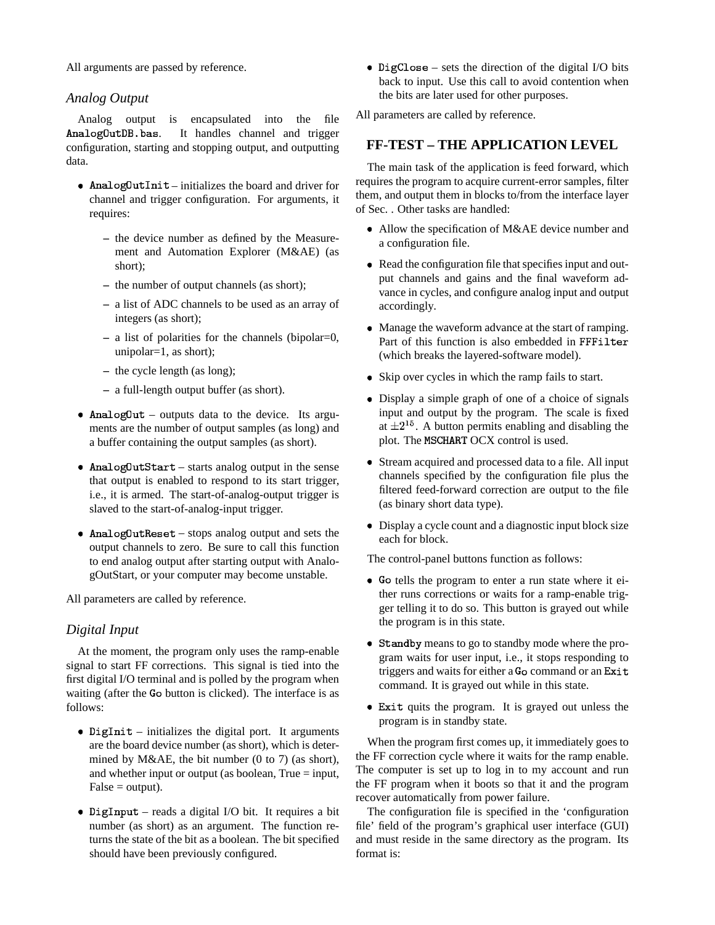All arguments are passed by reference.

# *Analog Output*

Analog output is encapsulated into the file AnalogOutDB.bas. . It handles channel and trigger configuration, starting and stopping output, and outputting data.

- AnalogOutInit initializes the board and driver for channel and trigger configuration. For arguments, it requires:
	- **–** the device number as defined by the Measurement and Automation Explorer (M&AE) (as short);
	- **–** the number of output channels (as short);
	- **–** a list of ADC channels to be used as an array of integers (as short);
	- **–** a list of polarities for the channels (bipolar=0, unipolar=1, as short);
	- **–** the cycle length (as long);
	- **–** a full-length output buffer (as short).
- Analog0ut outputs data to the device. Its arguments are the number of output samples (as long) and a buffer containing the output samples (as short).
- AnalogOutStart starts analog output in the sense that output is enabled to respond to its start trigger, i.e., it is armed. The start-of-analog-output trigger is slaved to the start-of-analog-input trigger.
- AnalogOutReset stops analog output and sets the output channels to zero. Be sure to call this function to end analog output after starting output with AnalogOutStart, or your computer may become unstable.

All parameters are called by reference.

# *Digital Input*

At the moment, the program only uses the ramp-enable signal to start FF corrections. This signal is tied into the first digital I/O terminal and is polled by the program when waiting (after the Go button is clicked). The interface is as follows:

- DigInit  $-$  initializes the digital port. It arguments are the board device number (as short), which is determined by M&AE, the bit number (0 to 7) (as short), and whether input or output (as boolean, True  $=$  input,  $False = output$ ).
- DigInput reads a digital I/O bit. It requires a bit number (as short) as an argument. The function returns the state of the bit as a boolean. The bit specified should have been previously configured.

• DigClose – sets the direction of the digital I/O bits back to input. Use this call to avoid contention when the bits are later used for other purposes.

All parameters are called by reference.

# **FF-TEST – THE APPLICATION LEVEL**

The main task of the application is feed forward, which requires the program to acquire current-error samples, filter them, and output them in blocks to/from the interface layer of Sec. . Other tasks are handled:

- Allow the specification of M&AE device number and a configuration file.
- Read the configuration file that specifies input and output channels and gains and the final waveform advance in cycles, and configure analog input and output accordingly.
- Manage the waveform advance at the start of ramping. Part of this function is also embedded in FFFilter (which breaks the layered-software model).
- Skip over cycles in which the ramp fails to start.
- Display a simple graph of one of a choice of signals input and output by the program. The scale is fixed at  $\pm 2^{15}$ . A button permits enabling and disabling the plot. The MSCHART OCX control is used.
- Stream acquired and processed data to a file. All input channels specified by the configuration file plus the filtered feed-forward correction are output to the file (as binary short data type).
- Display a cycle count and a diagnostic input block size each for block.

The control-panel buttons function as follows:

- Go tells the program to enter a run state where it either runs corrections or waits for a ramp-enable trigger telling it to do so. This button is grayed out while the program is in this state.
- Standby means to go to standby mode where the program waits for user input, i.e., it stops responding to triggers and waits for either a Go command or an Exit command. It is grayed out while in this state.
- Exit quits the program. It is grayed out unless the program is in standby state.

When the program first comes up, it immediately goes to the FF correction cycle where it waits for the ramp enable. The computer is set up to log in to my account and run the FF program when it boots so that it and the program recover automatically from power failure.

The configuration file is specified in the 'configuration file' field of the program's graphical user interface (GUI) and must reside in the same directory as the program. Its format is: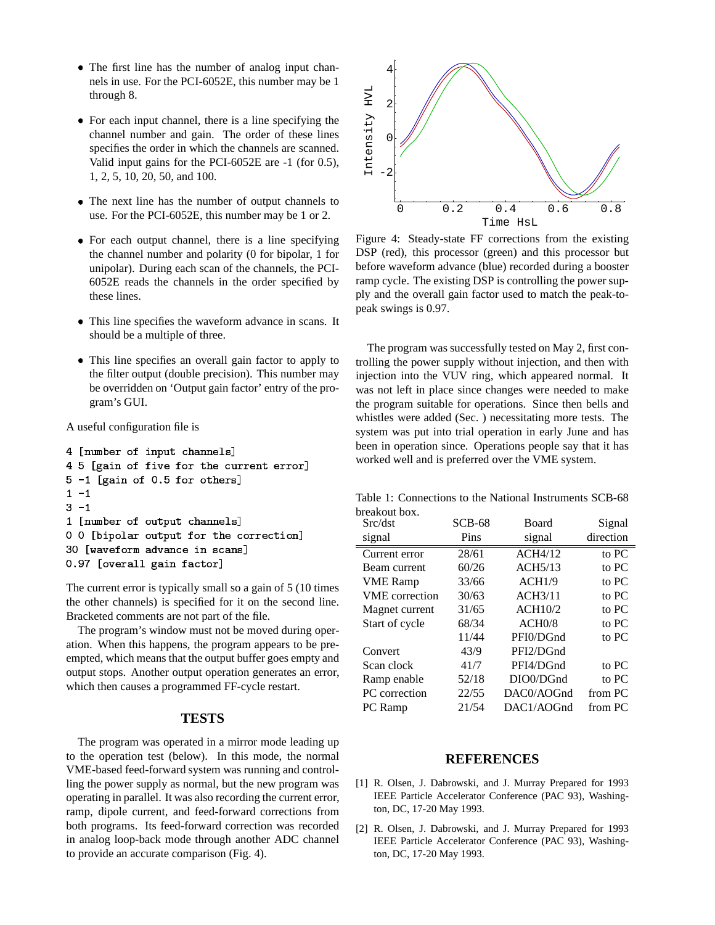- The first line has the number of analog input channels in use. For the PCI-6052E, this number may be 1 through 8.
- For each input channel, there is a line specifying the channel number and gain. The order of these lines specifies the order in which the channels are scanned. Valid input gains for the PCI-6052E are -1 (for 0.5), 1, 2, 5, 10, 20, 50, and 100.
- The next line has the number of output channels to use. For the PCI-6052E, this number may be 1 or 2.
- For each output channel, there is a line specifying the channel number and polarity (0 for bipolar, 1 for unipolar). During each scan of the channels, the PCI-6052E reads the channels in the order specified by these lines.
- This line specifies the waveform advance in scans. It should be a multiple of three.
- This line specifies an overall gain factor to apply to the filter output (double precision). This number may be overridden on 'Output gain factor' entry of the program's GUI.

A useful configuration file is

```
4 [number of input channels]
4 5 [gain of five for the current error]
5-1 [gain of 0.5 for others]
1 - 13 - 11 [number of output channels]
0 0 [bipolar output for the correction]
30 [waveform advance in scans]
0.97 [overall gain factor]
```
The current error is typically small so a gain of 5 (10 times the other channels) is specified for it on the second line. Bracketed comments are not part of the file.

The program's window must not be moved during operation. When this happens, the program appears to be preempted, which means that the output buffer goes empty and output stops. Another output operation generates an error, which then causes a programmed FF-cycle restart.

#### **TESTS**

The program was operated in a mirror mode leading up to the operation test (below). In this mode, the normal VME-based feed-forward system was running and controlling the power supply as normal, but the new program was operating in parallel. It was also recording the current error, ramp, dipole current, and feed-forward corrections from both programs. Its feed-forward correction was recorded in analog loop-back mode through another ADC channel to provide an accurate comparison (Fig. 4).



Figure 4: Steady-state FF corrections from the existing DSP (red), this processor (green) and this processor but before waveform advance (blue) recorded during a booster ramp cycle. The existing DSP is controlling the power supply and the overall gain factor used to match the peak-topeak swings is 0.97.

The program was successfully tested on May 2, first controlling the power supply without injection, and then with injection into the VUV ring, which appeared normal. It was not left in place since changes were needed to make the program suitable for operations. Since then bells and whistles were added (Sec. ) necessitating more tests. The system was put into trial operation in early June and has been in operation since. Operations people say that it has worked well and is preferred over the VME system.

Table 1: Connections to the National Instruments SCB-68 breakout box.

| Src/dst               | $SCB-68$ | Board      | Signal    |
|-----------------------|----------|------------|-----------|
| signal                | Pins     | signal     | direction |
| Current error         | 28/61    | ACH4/12    | to PC     |
| Beam current          | 60/26    | ACH5/13    | to PC     |
| <b>VME</b> Ramp       | 33/66    | ACH1/9     | to PC     |
| <b>VME</b> correction | 30/63    | ACH3/11    | to PC     |
| Magnet current        | 31/65    | ACH10/2    | to PC     |
| Start of cycle        | 68/34    | ACH0/8     | to PC     |
|                       | 11/44    | PFI0/DGnd  | to PC     |
| Convert               | 43/9     | PFI2/DGnd  |           |
| Scan clock            | 41/7     | PFI4/DGnd  | to PC     |
| Ramp enable           | 52/18    | DIO0/DGnd  | to PC     |
| PC correction         | 22/55    | DAC0/AOGnd | from PC   |
| PC Ramp               | 21/54    | DAC1/AOGnd | from PC   |

#### **REFERENCES**

- [1] R. Olsen, J. Dabrowski, and J. Murray Prepared for 1993 IEEE Particle Accelerator Conference (PAC 93), Washington, DC, 17-20 May 1993.
- [2] R. Olsen, J. Dabrowski, and J. Murray Prepared for 1993 IEEE Particle Accelerator Conference (PAC 93), Washington, DC, 17-20 May 1993.